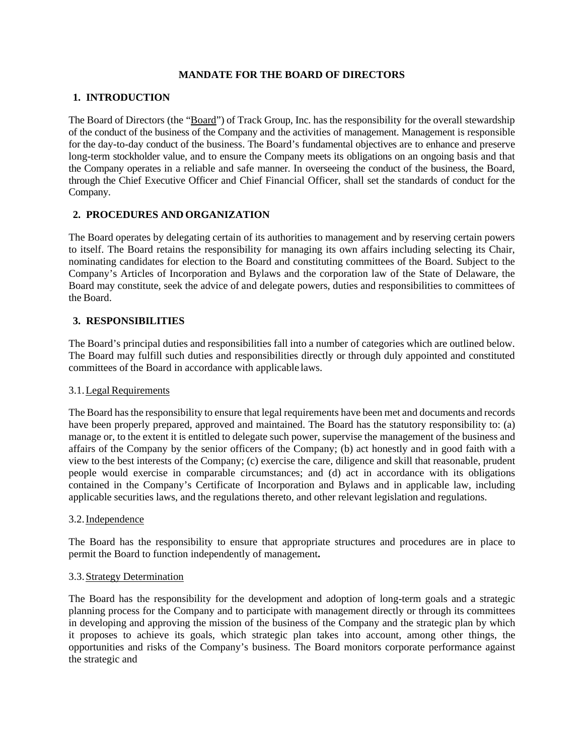### **MANDATE FOR THE BOARD OF DIRECTORS**

# **1. INTRODUCTION**

The Board of Directors (the "Board") of Track Group, Inc. has the responsibility for the overall stewardship of the conduct of the business of the Company and the activities of management. Management is responsible for the day-to-day conduct of the business. The Board's fundamental objectives are to enhance and preserve long-term stockholder value, and to ensure the Company meets its obligations on an ongoing basis and that the Company operates in a reliable and safe manner. In overseeing the conduct of the business, the Board, through the Chief Executive Officer and Chief Financial Officer, shall set the standards of conduct for the Company.

# **2. PROCEDURES AND ORGANIZATION**

The Board operates by delegating certain of its authorities to management and by reserving certain powers to itself. The Board retains the responsibility for managing its own affairs including selecting its Chair, nominating candidates for election to the Board and constituting committees of the Board. Subject to the Company's Articles of Incorporation and Bylaws and the corporation law of the State of Delaware, the Board may constitute, seek the advice of and delegate powers, duties and responsibilities to committees of the Board.

## **3. RESPONSIBILITIES**

The Board's principal duties and responsibilities fall into a number of categories which are outlined below. The Board may fulfill such duties and responsibilities directly or through duly appointed and constituted committees of the Board in accordance with applicable laws.

## 3.1.Legal Requirements

The Board has the responsibility to ensure that legal requirements have been met and documents and records have been properly prepared, approved and maintained. The Board has the statutory responsibility to: (a) manage or, to the extent it is entitled to delegate such power, supervise the management of the business and affairs of the Company by the senior officers of the Company; (b) act honestly and in good faith with a view to the best interests of the Company; (c) exercise the care, diligence and skill that reasonable, prudent people would exercise in comparable circumstances; and (d) act in accordance with its obligations contained in the Company's Certificate of Incorporation and Bylaws and in applicable law, including applicable securities laws, and the regulations thereto, and other relevant legislation and regulations.

### 3.2.Independence

The Board has the responsibility to ensure that appropriate structures and procedures are in place to permit the Board to function independently of management**.** 

#### 3.3.Strategy Determination

The Board has the responsibility for the development and adoption of long-term goals and a strategic planning process for the Company and to participate with management directly or through its committees in developing and approving the mission of the business of the Company and the strategic plan by which it proposes to achieve its goals, which strategic plan takes into account, among other things, the opportunities and risks of the Company's business. The Board monitors corporate performance against the strategic and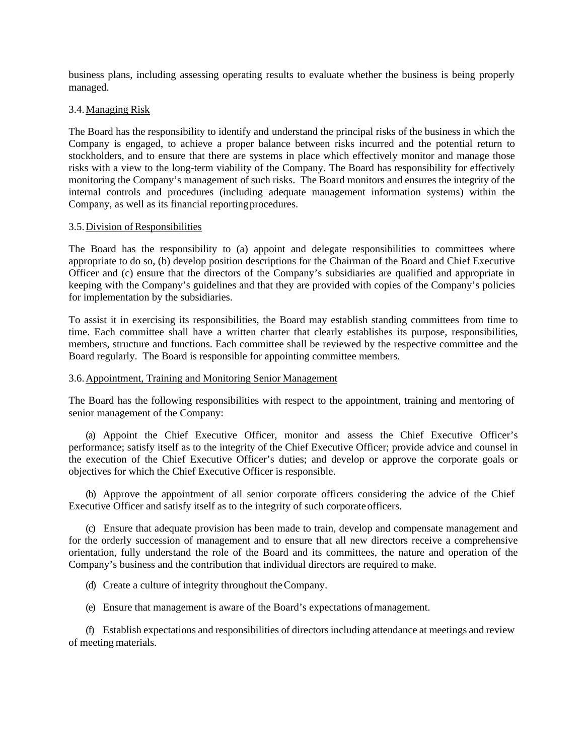business plans, including assessing operating results to evaluate whether the business is being properly managed.

### 3.4.Managing Risk

The Board has the responsibility to identify and understand the principal risks of the business in which the Company is engaged, to achieve a proper balance between risks incurred and the potential return to stockholders, and to ensure that there are systems in place which effectively monitor and manage those risks with a view to the long-term viability of the Company. The Board has responsibility for effectively monitoring the Company's management of such risks. The Board monitors and ensures the integrity of the internal controls and procedures (including adequate management information systems) within the Company, as well as its financial reportingprocedures.

#### 3.5.Division ofResponsibilities

The Board has the responsibility to (a) appoint and delegate responsibilities to committees where appropriate to do so, (b) develop position descriptions for the Chairman of the Board and Chief Executive Officer and (c) ensure that the directors of the Company's subsidiaries are qualified and appropriate in keeping with the Company's guidelines and that they are provided with copies of the Company's policies for implementation by the subsidiaries.

To assist it in exercising its responsibilities, the Board may establish standing committees from time to time. Each committee shall have a written charter that clearly establishes its purpose, responsibilities, members, structure and functions. Each committee shall be reviewed by the respective committee and the Board regularly. The Board is responsible for appointing committee members.

### 3.6.Appointment, Training and Monitoring Senior Management

The Board has the following responsibilities with respect to the appointment, training and mentoring of senior management of the Company:

(a) Appoint the Chief Executive Officer, monitor and assess the Chief Executive Officer's performance; satisfy itself as to the integrity of the Chief Executive Officer; provide advice and counsel in the execution of the Chief Executive Officer's duties; and develop or approve the corporate goals or objectives for which the Chief Executive Officer is responsible.

(b) Approve the appointment of all senior corporate officers considering the advice of the Chief Executive Officer and satisfy itself as to the integrity of such corporate officers.

(c) Ensure that adequate provision has been made to train, develop and compensate management and for the orderly succession of management and to ensure that all new directors receive a comprehensive orientation, fully understand the role of the Board and its committees, the nature and operation of the Company's business and the contribution that individual directors are required to make.

- (d) Create a culture of integrity throughout theCompany.
- (e) Ensure that management is aware of the Board's expectations ofmanagement.

(f) Establish expectations and responsibilities of directorsincluding attendance at meetings and review of meeting materials.